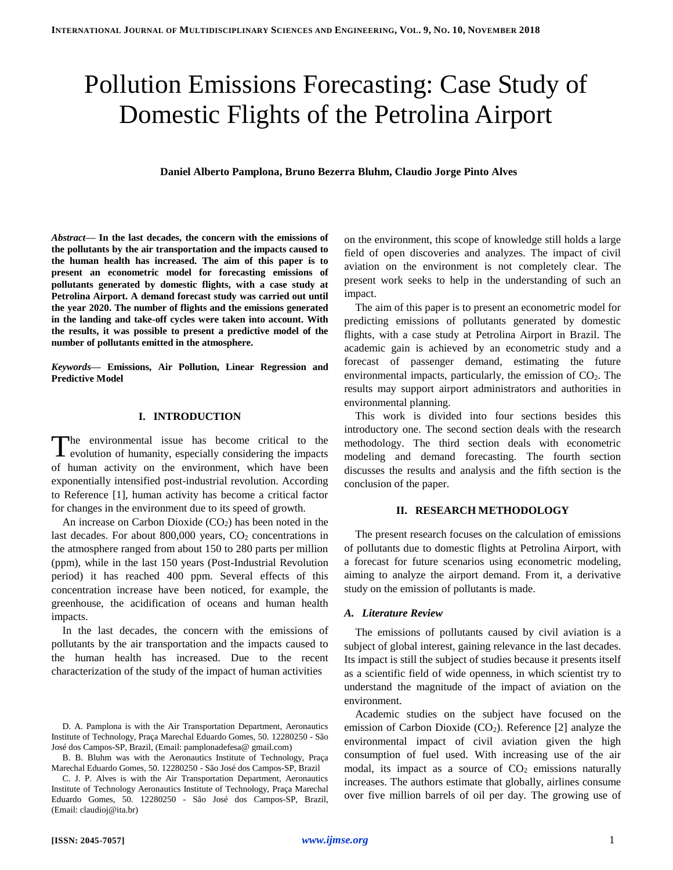# Pollution Emissions Forecasting: Case Study of Domestic Flights of the Petrolina Airport

**Daniel Alberto Pamplona, Bruno Bezerra Bluhm, Claudio Jorge Pinto Alves**

*Abstract***— In the last decades, the concern with the emissions of the pollutants by the air transportation and the impacts caused to the human health has increased. The aim of this paper is to present an econometric model for forecasting emissions of pollutants generated by domestic flights, with a case study at Petrolina Airport. A demand forecast study was carried out until the year 2020. The number of flights and the emissions generated in the landing and take-off cycles were taken into account. With the results, it was possible to present a predictive model of the number of pollutants emitted in the atmosphere.**

*Keywords***— Emissions, Air Pollution, Linear Regression and Predictive Model**

# **I. INTRODUCTION**

he environmental issue has become critical to the The environmental issue has become critical to the evolution of humanity, especially considering the impacts of human activity on the environment, which have been exponentially intensified post-industrial revolution. According to Reference [1], human activity has become a critical factor for changes in the environment due to its speed of growth.

An increase on Carbon Dioxide  $(CO_2)$  has been noted in the last decades. For about  $800,000$  years,  $CO<sub>2</sub>$  concentrations in the atmosphere ranged from about 150 to 280 parts per million (ppm), while in the last 150 years (Post-Industrial Revolution period) it has reached 400 ppm. Several effects of this concentration increase have been noticed, for example, the greenhouse, the acidification of oceans and human health impacts.

In the last decades, the concern with the emissions of pollutants by the air transportation and the impacts caused to the human health has increased. Due to the recent characterization of the study of the impact of human activities

on the environment, this scope of knowledge still holds a large field of open discoveries and analyzes. The impact of civil aviation on the environment is not completely clear. The present work seeks to help in the understanding of such an impact.

The aim of this paper is to present an econometric model for predicting emissions of pollutants generated by domestic flights, with a case study at Petrolina Airport in Brazil. The academic gain is achieved by an econometric study and a forecast of passenger demand, estimating the future environmental impacts, particularly, the emission of  $CO<sub>2</sub>$ . The results may support airport administrators and authorities in environmental planning.

This work is divided into four sections besides this introductory one. The second section deals with the research methodology. The third section deals with econometric modeling and demand forecasting. The fourth section discusses the results and analysis and the fifth section is the conclusion of the paper.

#### **II. RESEARCH METHODOLOGY**

The present research focuses on the calculation of emissions of pollutants due to domestic flights at Petrolina Airport, with a forecast for future scenarios using econometric modeling, aiming to analyze the airport demand. From it, a derivative study on the emission of pollutants is made.

#### *A. Literature Review*

The emissions of pollutants caused by civil aviation is a subject of global interest, gaining relevance in the last decades. Its impact is still the subject of studies because it presents itself as a scientific field of wide openness, in which scientist try to understand the magnitude of the impact of aviation on the environment.

Academic studies on the subject have focused on the emission of Carbon Dioxide  $(CO<sub>2</sub>)$ . Reference [2] analyze the environmental impact of civil aviation given the high consumption of fuel used. With increasing use of the air modal, its impact as a source of  $CO<sub>2</sub>$  emissions naturally increases. The authors estimate that globally, airlines consume over five million barrels of oil per day. The growing use of

D. A. Pamplona is with the Air Transportation Department, Aeronautics Institute of Technology, Praça Marechal Eduardo Gomes, 50. 12280250 - São José dos Campos-SP, Brazil, (Email: pamplonadefesa@ gmail.com)

B. B. Bluhm was with the Aeronautics Institute of Technology, Praça Marechal Eduardo Gomes, 50. 12280250 - São José dos Campos-SP, Brazil

C. J. P. Alves is with the Air Transportation Department, Aeronautics Institute of Technology Aeronautics Institute of Technology, Praça Marechal Eduardo Gomes, 50. 12280250 - São José dos Campos-SP, Brazil, (Email: claudioj@ita.br)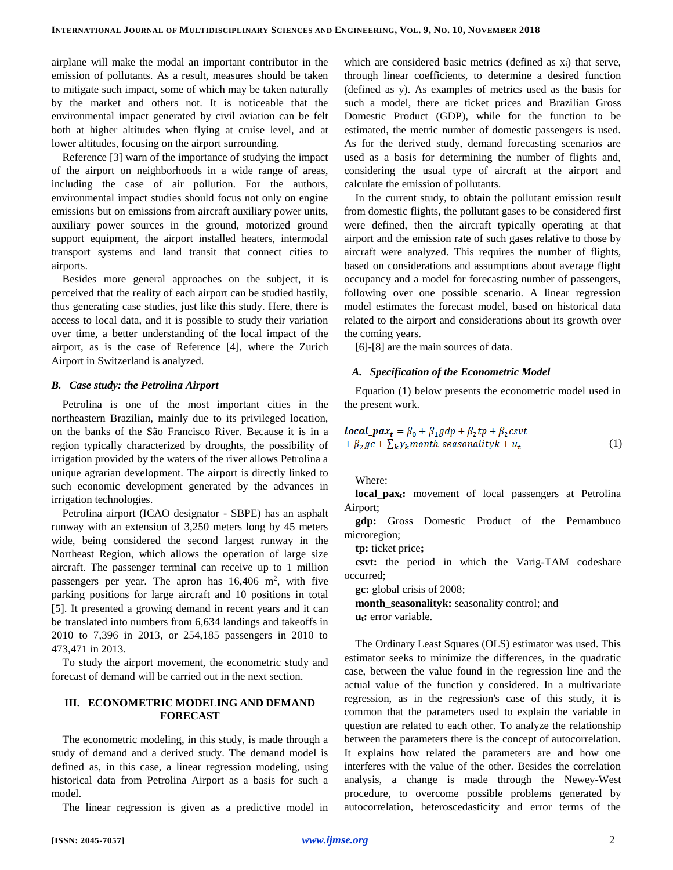airplane will make the modal an important contributor in the emission of pollutants. As a result, measures should be taken to mitigate such impact, some of which may be taken naturally by the market and others not. It is noticeable that the environmental impact generated by civil aviation can be felt both at higher altitudes when flying at cruise level, and at lower altitudes, focusing on the airport surrounding.

Reference [3] warn of the importance of studying the impact of the airport on neighborhoods in a wide range of areas, including the case of air pollution. For the authors, environmental impact studies should focus not only on engine emissions but on emissions from aircraft auxiliary power units, auxiliary power sources in the ground, motorized ground support equipment, the airport installed heaters, intermodal transport systems and land transit that connect cities to airports.

Besides more general approaches on the subject, it is perceived that the reality of each airport can be studied hastily, thus generating case studies, just like this study. Here, there is access to local data, and it is possible to study their variation over time, a better understanding of the local impact of the airport, as is the case of Reference [4], where the Zurich Airport in Switzerland is analyzed.

## *B. Case study: the Petrolina Airport*

Petrolina is one of the most important cities in the northeastern Brazilian, mainly due to its privileged location, on the banks of the São Francisco River. Because it is in a region typically characterized by droughts, the possibility of irrigation provided by the waters of the river allows Petrolina a unique agrarian development. The airport is directly linked to such economic development generated by the advances in irrigation technologies.

Petrolina airport (ICAO designator - SBPE) has an asphalt runway with an extension of 3,250 meters long by 45 meters wide, being considered the second largest runway in the Northeast Region, which allows the operation of large size aircraft. The passenger terminal can receive up to 1 million passengers per year. The apron has  $16,406$  m<sup>2</sup>, with five parking positions for large aircraft and 10 positions in total [5]. It presented a growing demand in recent years and it can be translated into numbers from 6,634 landings and takeoffs in 2010 to 7,396 in 2013, or 254,185 passengers in 2010 to 473,471 in 2013.

To study the airport movement, the econometric study and forecast of demand will be carried out in the next section.

## **III. ECONOMETRIC MODELING AND DEMAND FORECAST**

The econometric modeling, in this study, is made through a study of demand and a derived study. The demand model is defined as, in this case, a linear regression modeling, using historical data from Petrolina Airport as a basis for such a model.

The linear regression is given as a predictive model in

which are considered basic metrics (defined as  $x_i$ ) that serve, through linear coefficients, to determine a desired function (defined as y). As examples of metrics used as the basis for such a model, there are ticket prices and Brazilian Gross Domestic Product (GDP), while for the function to be estimated, the metric number of domestic passengers is used. As for the derived study, demand forecasting scenarios are used as a basis for determining the number of flights and, considering the usual type of aircraft at the airport and calculate the emission of pollutants.

In the current study, to obtain the pollutant emission result from domestic flights, the pollutant gases to be considered first were defined, then the aircraft typically operating at that airport and the emission rate of such gases relative to those by aircraft were analyzed. This requires the number of flights, based on considerations and assumptions about average flight occupancy and a model for forecasting number of passengers, following over one possible scenario. A linear regression model estimates the forecast model, based on historical data related to the airport and considerations about its growth over the coming years.

[6]-[8] are the main sources of data.

#### *A. Specification of the Econometric Model*

Equation (1) below presents the econometric model used in the present work.

$$
\begin{aligned} \text{local\_pax}_t &= \beta_0 + \beta_1 g \, dp + \beta_2 \, tp + \beta_2 \, \text{csvt} \\ &+ \beta_2 \, gc + \sum_k \gamma_k \, month\_seasonality \, k + u_t \end{aligned} \tag{1}
$$

Where:

**local\_paxt:** movement of local passengers at Petrolina Airport;

**gdp:** Gross Domestic Product of the Pernambuco microregion;

**tp:** ticket price**;**

**csvt:** the period in which the Varig-TAM codeshare occurred;

**gc:** global crisis of 2008;

**month\_seasonalityk:** seasonality control; and **ut:** error variable.

The Ordinary Least Squares (OLS) estimator was used. This estimator seeks to minimize the differences, in the quadratic case, between the value found in the regression line and the actual value of the function y considered. In a multivariate regression, as in the regression's case of this study, it is common that the parameters used to explain the variable in question are related to each other. To analyze the relationship between the parameters there is the concept of autocorrelation. It explains how related the parameters are and how one interferes with the value of the other. Besides the correlation analysis, a change is made through the Newey-West procedure, to overcome possible problems generated by autocorrelation, heteroscedasticity and error terms of the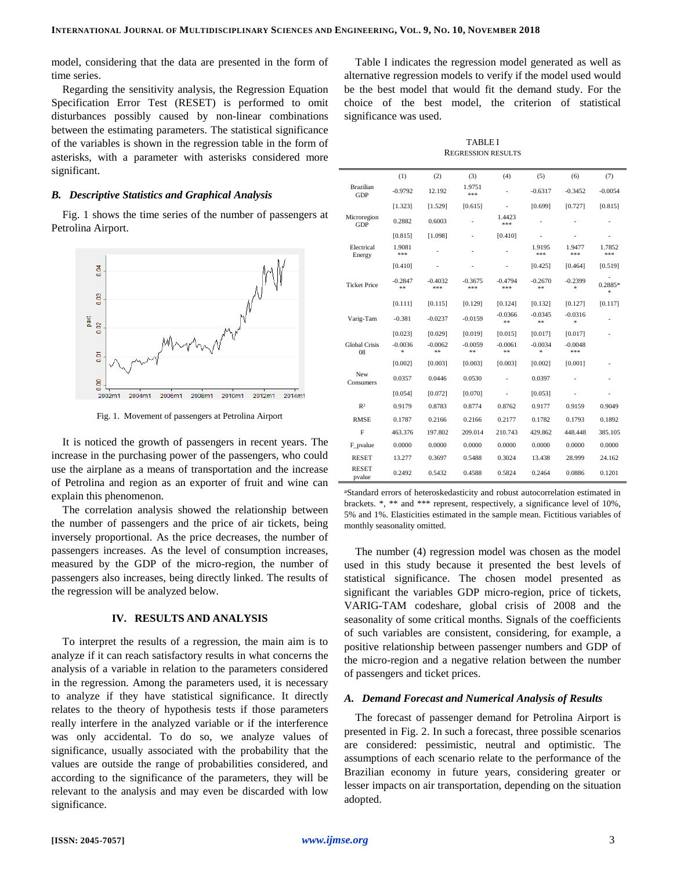model, considering that the data are presented in the form of time series.

Regarding the sensitivity analysis, the Regression Equation Specification Error Test (RESET) is performed to omit disturbances possibly caused by non-linear combinations between the estimating parameters. The statistical significance of the variables is shown in the regression table in the form of asterisks, with a parameter with asterisks considered more significant.

#### *B. Descriptive Statistics and Graphical Analysis*

Fig. 1 shows the time series of the number of passengers at Petrolina Airport.



Fig. 1. Movement of passengers at Petrolina Airport

It is noticed the growth of passengers in recent years. The increase in the purchasing power of the passengers, who could use the airplane as a means of transportation and the increase of Petrolina and region as an exporter of fruit and wine can explain this phenomenon.

The correlation analysis showed the relationship between the number of passengers and the price of air tickets, being inversely proportional. As the price decreases, the number of passengers increases. As the level of consumption increases, measured by the GDP of the micro-region, the number of passengers also increases, being directly linked. The results of the regression will be analyzed below.

#### **IV. RESULTS AND ANALYSIS**

To interpret the results of a regression, the main aim is to analyze if it can reach satisfactory results in what concerns the analysis of a variable in relation to the parameters considered in the regression. Among the parameters used, it is necessary to analyze if they have statistical significance. It directly relates to the theory of hypothesis tests if those parameters really interfere in the analyzed variable or if the interference was only accidental. To do so, we analyze values of significance, usually associated with the probability that the values are outside the range of probabilities considered, and according to the significance of the parameters, they will be relevant to the analysis and may even be discarded with low significance.

Table I indicates the regression model generated as well as alternative regression models to verify if the model used would be the best model that would fit the demand study. For the choice of the best model, the criterion of statistical significance was used.

TABLE I REGRESSION RESULTS

|                                | (1)                | (2)              | (3)              | (4)              | (5)             | (6)                    | (7)               |
|--------------------------------|--------------------|------------------|------------------|------------------|-----------------|------------------------|-------------------|
| <b>Brazilian</b><br><b>GDP</b> | $-0.9792$          | 12.192           | 1.9751<br>***    |                  | $-0.6317$       | $-0.3452$              | $-0.0054$         |
|                                | [1.323]            | [1.529]          | [0.615]          | $\overline{a}$   | [0.699]         | [0.727]                | [0.815]           |
| Microregion<br>GDP             | 0.2882             | 0.6003           |                  | 1.4423<br>***    |                 |                        |                   |
|                                | [0.815]            | [1.098]          |                  | [0.410]          |                 |                        |                   |
| Electrical<br>Energy           | 1.9081<br>***      |                  |                  |                  | 1.9195<br>***   | 1.9477<br>***          | 1.7852<br>***     |
|                                | [0.410]            |                  |                  |                  | [0.425]         | [0.464]                | [0.519]           |
| <b>Ticket Price</b>            | $-0.2847$<br>$* *$ | $-0.4032$<br>*** | $-0.3675$<br>*** | $-0.4794$<br>*** | $-0.2670$<br>** | $-0.2399$<br>$\approx$ | 0.2885*<br>$\ast$ |
|                                | [0.111]            | [0.115]          | [0.129]          | [0.124]          | [0.132]         | [0.127]                | [0.117]           |
| Varig-Tam                      | $-0.381$           | $-0.0237$        | $-0.0159$        | $-0.0366$<br>**  | $-0.0345$<br>** | $-0.0316$<br>ź.        |                   |
|                                | [0.023]            | [0.029]          | [0.019]          | [0.015]          | [0.017]         | [0.017]                |                   |
| <b>Global Crisis</b><br>08     | $-0.0036$<br>*     | $-0.0062$<br>**  | $-0.0059$<br>**  | $-0.0061$<br>**  | $-0.0034$<br>÷  | $-0.0048$<br>***       |                   |
|                                | [0.002]            | [0.003]          | [0.003]          | [0.003]          | [0.002]         | [0.001]                |                   |
| New<br>Consumers               | 0.0357             | 0.0446           | 0.0530           |                  | 0.0397          |                        |                   |
|                                | [0.054]            | [0.072]          | [0.070]          |                  | [0.053]         |                        |                   |
| R <sup>2</sup>                 | 0.9179             | 0.8783           | 0.8774           | 0.8762           | 0.9177          | 0.9159                 | 0.9049            |
| <b>RMSE</b>                    | 0.1787             | 0.2166           | 0.2166           | 0.2177           | 0.1782          | 0.1793                 | 0.1892            |
| $\overline{F}$                 | 463.376            | 197.802          | 209.014          | 210.743          | 429.862         | 448.448                | 385.105           |
| F_pvalue                       | 0.0000             | 0.0000           | 0.0000           | 0.0000           | 0.0000          | 0.0000                 | 0.0000            |
| <b>RESET</b>                   | 13.277             | 0.3697           | 0.5488           | 0.3024           | 13.438          | 28.999                 | 24.162            |
| <b>RESET</b><br>pvalue         | 0.2492             | 0.5432           | 0.4588           | 0.5824           | 0.2464          | 0.0886                 | 0.1201            |

<sup>a</sup>Standard errors of heteroskedasticity and robust autocorrelation estimated in brackets. \*, \*\* and \*\*\* represent, respectively, a significance level of 10%, 5% and 1%. Elasticities estimated in the sample mean. Fictitious variables of monthly seasonality omitted.

The number (4) regression model was chosen as the model used in this study because it presented the best levels of statistical significance. The chosen model presented as significant the variables GDP micro-region, price of tickets, VARIG-TAM codeshare, global crisis of 2008 and the seasonality of some critical months. Signals of the coefficients of such variables are consistent, considering, for example, a positive relationship between passenger numbers and GDP of the micro-region and a negative relation between the number of passengers and ticket prices.

#### *A. Demand Forecast and Numerical Analysis of Results*

The forecast of passenger demand for Petrolina Airport is presented in Fig. 2. In such a forecast, three possible scenarios are considered: pessimistic, neutral and optimistic. The assumptions of each scenario relate to the performance of the Brazilian economy in future years, considering greater or lesser impacts on air transportation, depending on the situation adopted.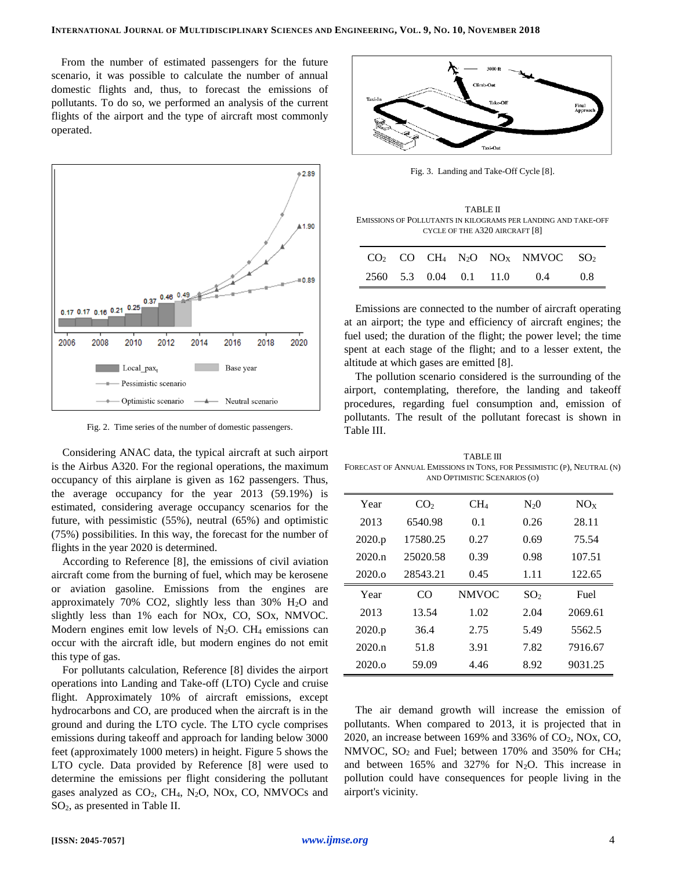From the number of estimated passengers for the future scenario, it was possible to calculate the number of annual domestic flights and, thus, to forecast the emissions of pollutants. To do so, we performed an analysis of the current flights of the airport and the type of aircraft most commonly operated.



Fig. 2. Time series of the number of domestic passengers.

Considering ANAC data, the typical aircraft at such airport is the Airbus A320. For the regional operations, the maximum occupancy of this airplane is given as 162 passengers. Thus, the average occupancy for the year 2013 (59.19%) is estimated, considering average occupancy scenarios for the future, with pessimistic (55%), neutral (65%) and optimistic (75%) possibilities. In this way, the forecast for the number of flights in the year 2020 is determined.

According to Reference [8], the emissions of civil aviation aircraft come from the burning of fuel, which may be kerosene or aviation gasoline. Emissions from the engines are approximately 70% CO2, slightly less than 30%  $H<sub>2</sub>O$  and slightly less than 1% each for NOx, CO, SOx, NMVOC. Modern engines emit low levels of  $N_2O$ . CH<sub>4</sub> emissions can occur with the aircraft idle, but modern engines do not emit this type of gas.

For pollutants calculation, Reference [8] divides the airport operations into Landing and Take-off (LTO) Cycle and cruise flight. Approximately 10% of aircraft emissions, except hydrocarbons and CO, are produced when the aircraft is in the ground and during the LTO cycle. The LTO cycle comprises emissions during takeoff and approach for landing below 3000 feet (approximately 1000 meters) in height. Figure 5 shows the LTO cycle. Data provided by Reference [8] were used to determine the emissions per flight considering the pollutant gases analyzed as  $CO<sub>2</sub>$ , CH<sub>4</sub>, N<sub>2</sub>O, NOx, CO, NMVOCs and SO2, as presented in Table II.



Fig. 3. Landing and Take-Off Cycle [8].

TABLE II EMISSIONS OF POLLUTANTS IN KILOGRAMS PER LANDING AND TAKE-OFF CYCLE OF THE A320 AIRCRAFT [8]

|  |  | $CO2$ CO CH <sub>4</sub> N <sub>2</sub> O NO <sub>X</sub> NMVOC SO <sub>2</sub> |    |
|--|--|---------------------------------------------------------------------------------|----|
|  |  | 2560 5.3 0.04 0.1 11.0 0.4                                                      | 08 |

Emissions are connected to the number of aircraft operating at an airport; the type and efficiency of aircraft engines; the fuel used; the duration of the flight; the power level; the time spent at each stage of the flight; and to a lesser extent, the altitude at which gases are emitted [8].

The pollution scenario considered is the surrounding of the airport, contemplating, therefore, the landing and takeoff procedures, regarding fuel consumption and, emission of pollutants. The result of the pollutant forecast is shown in Table III.

TABLE III FORECAST OF ANNUAL EMISSIONS IN TONS, FOR PESSIMISTIC (P), NEUTRAL (N) AND OPTIMISTIC SCENARIOS (O)

| Year   | CO <sub>2</sub> | CH <sub>4</sub> | $N_20$          | NOx     |
|--------|-----------------|-----------------|-----------------|---------|
| 2013   | 6540.98         | 0.1             | 0.26            | 28.11   |
| 2020.p | 17580.25        | 0.27            | 0.69            | 75.54   |
| 2020.n | 25020.58        | 0.39            | 0.98            | 107.51  |
| 2020.0 | 28543.21        | 0.45            | 1.11            | 122.65  |
| Year   | CO              | <b>NMVOC</b>    | SO <sub>2</sub> | Fuel    |
| 2013   | 13.54           | 1.02            | 2.04            | 2069.61 |
| 2020.p | 36.4            | 2.75            | 5.49            | 5562.5  |
| 2020.n | 51.8            | 3.91            | 7.82            | 7916.67 |
| 2020.0 | 59.09           | 4.46            | 8.92            | 9031.25 |

The air demand growth will increase the emission of pollutants. When compared to 2013, it is projected that in 2020, an increase between 169% and 336% of  $CO<sub>2</sub>$ , NOx, CO, NMVOC,  $SO_2$  and Fuel; between 170% and 350% for CH<sub>4</sub>; and between  $165\%$  and  $327\%$  for N<sub>2</sub>O. This increase in pollution could have consequences for people living in the airport's vicinity.